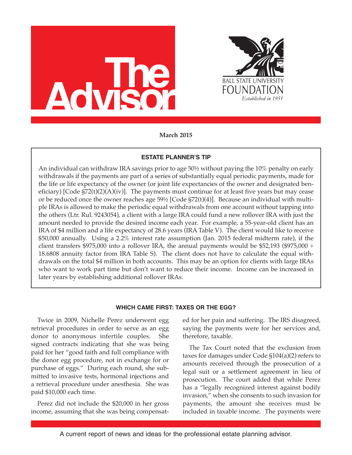



**March 2015**

### **ESTATE PLANNER'S TIP**

An individual can withdraw IRA savings prior to age 50½ without paying the 10% penalty on early withdrawals if the payments are part of a series of substantially equal periodic payments, made for the life or life expectancy of the owner (or joint life expectancies of the owner and designated beneficiary) [Code  $\frac{572(t)(2)(A)(iv)}{i}$ . The payments must continue for at least five years but may cease or be reduced once the owner reaches age 59½ [Code §72(t)(4)]. Because an individual with multiple IRAs is allowed to make the periodic equal withdrawals from one account without tapping into the others (Ltr. Rul. 9243054), a client with a large IRA could fund a new rollover IRA with just the amount needed to provide the desired income each year. For example, a 55-year-old client has an IRA of \$4 million and a life expectancy of 28.6 years (IRA Table V). The client would like to receive \$50,000 annually. Using a 2.2% interest rate assumption (Jan. 2015 federal midterm rate), if the client transfers \$975,000 into a rollover IRA, the annual payments would be \$52,193 (\$975,000  $\div$ 18.6808 annuity factor from IRA Table S). The client does not have to calculate the equal withdrawals on the total \$4 million in both accounts. This may be an option for clients with large IRAs who want to work part time but don't want to reduce their income. Income can be increased in later years by establishing additional rollover IRAs.

#### **WHICH CAME FIRST: TAXES OR THE EGG?**

Twice in 2009, Nichelle Perez underwent egg retrieval procedures in order to serve as an egg donor to anonymous infertile couples. She signed contracts indicating that she was being paid for her "good faith and full compliance with the donor egg procedure, not in exchange for or purchase of eggs." During each round, she submitted to invasive tests, hormonal injections and a retrieval procedure under anesthesia. She was paid \$10,000 each time.

Perez did not include the \$20,000 in her gross income, assuming that she was being compensated for her pain and suffering. The IRS disagreed, saying the payments were for her services and, therefore, taxable.

The Tax Court noted that the exclusion from taxes for damages under Code §104(a)(2) refers to amounts received through the prosecution of a legal suit or a settlement agreement in lieu of prosecution. The court added that while Perez has a "legally recognized interest against bodily invasion," when she consents to such invasion for payments, the amount she receives must be included in taxable income. The payments were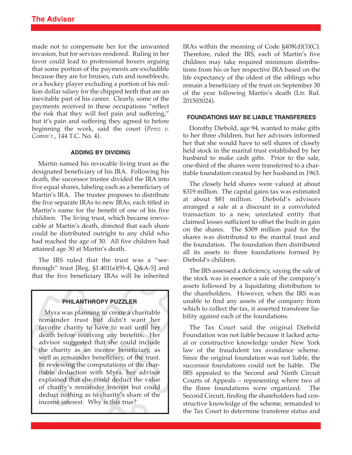made not to compensate her for the unwanted invasion, but for services rendered. Ruling in her favor could lead to professional boxers arguing that some portion of the payments are excludible because they are for bruises, cuts and nosebleeds, or a hockey player excluding a portion of his million dollar salary for the chipped teeth that are an inevitable part of his career. Clearly, some of the payments received in these occupations "reflect the risk that they will feel pain and suffering," but it's pain and suffering they agreed to before beginning the work, said the court (*Perez v. Comm'r*., 144 T.C. No. 4).

### **ADDING BY DIVIDING**

Martin named his revocable living trust as the designated beneficiary of his IRA. Following his death, the successor trustee divided the IRA into five equal shares, labeling each as a beneficiary of Martin's IRA. The trustee proposes to distribute the five separate IRAs to new IRAs, each titled in Martin's name for the benefit of one of his five children. The living trust, which became irrevocable at Martin's death, directed that each share could be distributed outright to any child who had reached the age of 30. All five children had attained age 30 at Martin's death.

The IRS ruled that the trust was a "seethrough" trust [Reg. §1.401(a)(9)-4, Q&A-5] and that the five beneficiary IRAs will be inherited

#### **PHILANTHROPY PUZZLER**

Myra was planning to create a charitable remainder trust but didn't want her favorite charity to have to wait until her death before receiving any benefits. Her advisor suggested that she could include the charity as an income beneficiary, as well as remainder beneficiary, of the trust. In reviewing the computations of the charitable deduction with Myra, her advisor explained that she could deduct the value of charity's remainder interest but could deduct nothing as to charity's share of the income interest. Why is this true?

IRAs within the meaning of Code §408(d)(3)(C). Therefore, ruled the IRS, each of Martin's five children may take required minimum distributions from his or her respective IRA based on the life expectancy of the oldest of the siblings who remain a beneficiary of the trust on September 30 of the year following Martin's death (Ltr. Rul. 201503024).

#### **FOUNDATIONS MAY BE LIABLE TRANSFEREES**

Dorothy Diebold, age 94, wanted to make gifts to her three children, but her advisors informed her that she would have to sell shares of closely held stock in the marital trust established by her husband to make cash gifts. Prior to the sale, one-third of the shares were transferred to a charitable foundation created by her husband in 1963.

The closely held shares were valued at about \$319 million. The capital gains tax was estimated at about \$81 million. Diebold's advisors arranged a sale at a discount in a convoluted transaction to a new, unrelated entity that claimed losses sufficient to offset the built-in gain on the shares. The \$309 million paid for the shares was distributed to the marital trust and the foundation. The foundation then distributed all its assets to three foundations formed by Diebold's children.

The IRS assessed a deficiency, saying the sale of the stock was in essence a sale of the company's assets followed by a liquidating distribution to the shareholders. However, when the IRS was unable to find any assets of the company from which to collect the tax, it asserted transferee liability against each of the foundations.

The Tax Court said the original Diebold Foundation was not liable because it lacked actual or constructive knowledge under New York law of the fraudulent tax avoidance scheme. Since the original foundation was not liable, the successor foundations could not be liable. The IRS appealed to the Second and Ninth Circuit Courts of Appeals – representing where two of the three foundations were organized. The Second Circuit, finding the shareholders had constructive knowledge of the scheme, remanded to the Tax Court to determine transferee status and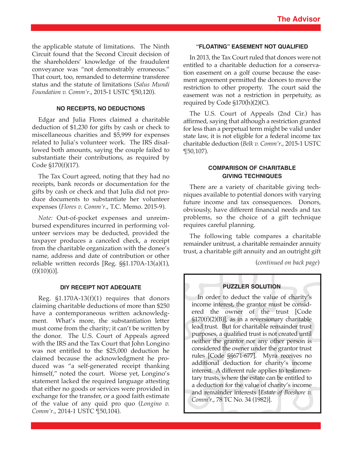the applicable statute of limitations. The Ninth Circuit found that the Second Circuit decision of the shareholders' knowledge of the fraudulent conveyance was "not demonstrably erroneous." That court, too, remanded to determine transferee status and the statute of limitations (*Salus Mundi Foundation v. Comm'r*., 2015-1 USTC ¶50,120).

#### **NO RECEIPTS, NO DEDUCTIONS**

Edgar and Julia Flores claimed a charitable deduction of \$1,230 for gifts by cash or check to miscellaneous charities and \$5,999 for expenses related to Julia's volunteer work. The IRS disallowed both amounts, saying the couple failed to substantiate their contributions, as required by Code §170(f)(17).

The Tax Court agreed, noting that they had no receipts, bank records or documentation for the gifts by cash or check and that Julia did not produce documents to substantiate her volunteer expenses (*Flores v. Comm'r*., T.C. Memo. 2015-9).

*Note:* Out-of-pocket expenses and unreimbursed expenditures incurred in performing volunteer services may be deducted, provided the taxpayer produces a canceled check, a receipt from the charitable organization with the donee's name, address and date of contribution or other reliable written records [Reg. §§1.170A-13(a)(1),  $(f)(10)(i)$ ].

#### **DIY RECEIPT NOT ADEQUATE**

Reg. §1.170A-13(f)(1) requires that donors claiming charitable deductions of more than \$250 have a contemporaneous written acknowledgment. What's more, the substantiation letter must come from the charity; it can't be written by the donor. The U.S. Court of Appeals agreed with the IRS and the Tax Court that John Longino was not entitled to the \$25,000 deduction he claimed because the acknowledgment he produced was "a self-generated receipt thanking himself," noted the court. Worse yet, Longino's statement lacked the required language attesting that either no goods or services were provided in exchange for the transfer, or a good faith estimate of the value of any quid pro quo (*Longino v. Comm'r*., 2014-1 USTC ¶50,104).

#### **"FLOATING" EASEMENT NOT QUALIFIED**

In 2013, the Tax Court ruled that donors were not entitled to a charitable deduction for a conservation easement on a golf course because the easement agreement permitted the donors to move the restriction to other property. The court said the easement was not a restriction in perpetuity, as required by Code §170(h)(2)(C).

The U.S. Court of Appeals (2nd Cir.) has affirmed, saying that although a restriction granted for less than a perpetual term might be valid under state law, it is not eligible for a federal income tax charitable deduction (*Belk v. Comm'r*., 2015-1 USTC ¶50,107).

### **COMPARISON OF CHARITABLE GIVING TECHNIQUES**

There are a variety of charitable giving techniques available to potential donors with varying future income and tax consequences. Donors, obviously, have different financial needs and tax problems, so the choice of a gift technique requires careful planning.

The following table compares a charitable remainder unitrust, a charitable remainder annuity trust, a charitable gift annuity and an outright gift

(*continued on back page*)

#### **PUZZLER SOLUTION**

In order to deduct the value of charity's income interest, the grantor must be considered the owner of the trust [Code §170(f)(2)(B)], as in a reversionary charitable lead trust. But for charitable remainder trust purposes, a qualified trust is not created until neither the grantor nor any other person is considered the owner under the grantor trust rules [Code §§671-677]. Myra receives no additional deduction for charity's income interest. A different rule applies to testamentary trusts, where the estate can be entitled to a deduction for the value of charity's income and remainder interests [*Estate of Boeshore v. Comm'r*., 78 TC No. 34 (1982)].